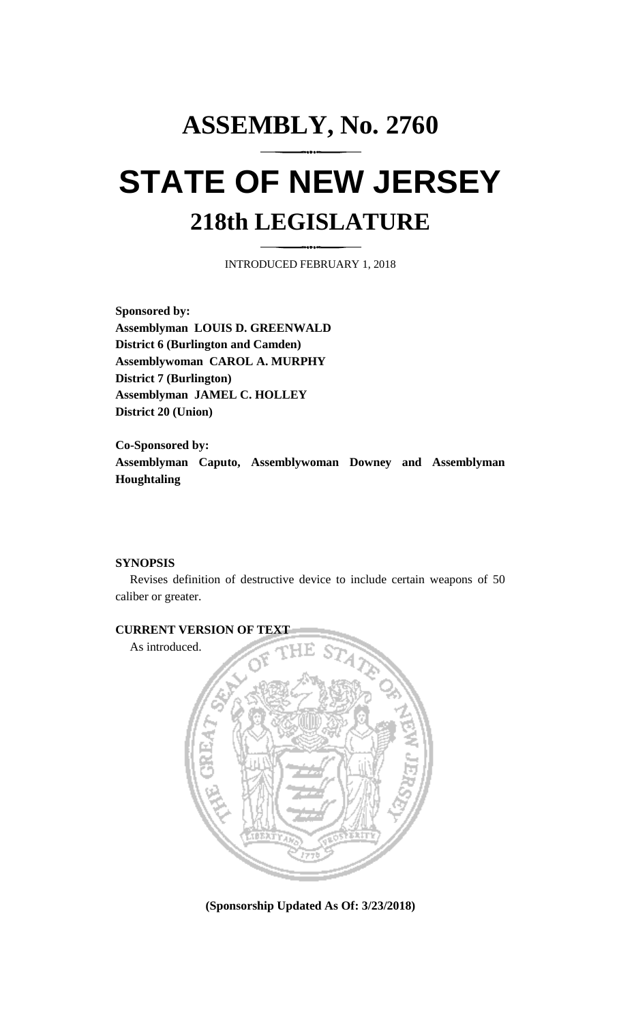## **ASSEMBLY, No. 2760 STATE OF NEW JERSEY 218th LEGISLATURE**

INTRODUCED FEBRUARY 1, 2018

**Sponsored by: Assemblyman LOUIS D. GREENWALD District 6 (Burlington and Camden) Assemblywoman CAROL A. MURPHY District 7 (Burlington) Assemblyman JAMEL C. HOLLEY District 20 (Union)**

**Co-Sponsored by: Assemblyman Caputo, Assemblywoman Downey and Assemblyman Houghtaling**

## **SYNOPSIS**

Revises definition of destructive device to include certain weapons of 50 caliber or greater.



**(Sponsorship Updated As Of: 3/23/2018)**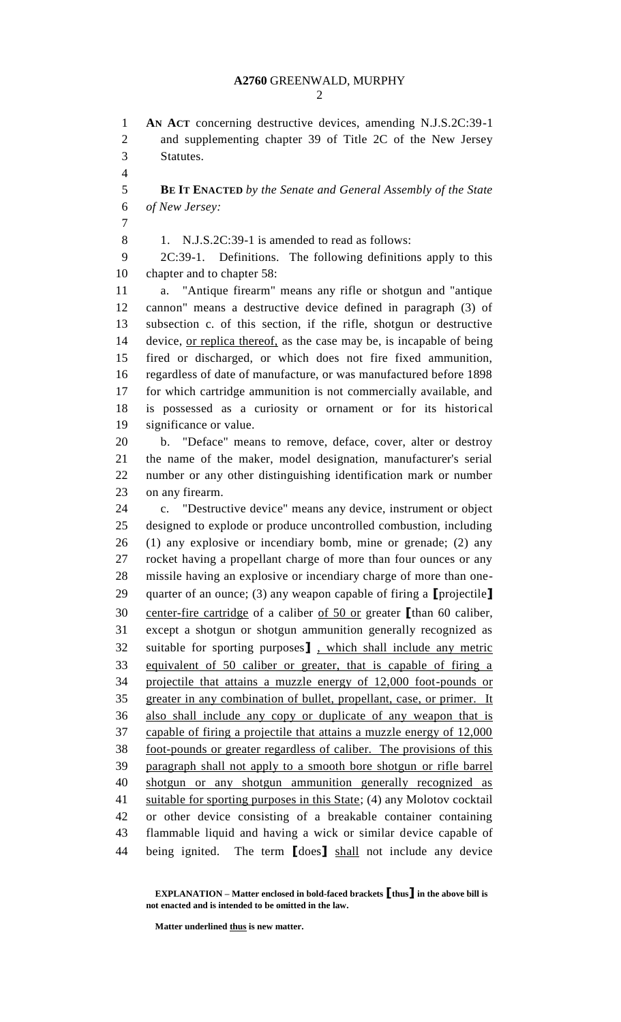**AN ACT** concerning destructive devices, amending N.J.S.2C:39-1 and supplementing chapter 39 of Title 2C of the New Jersey Statutes. **BE IT ENACTED** *by the Senate and General Assembly of the State of New Jersey:* 8 1. N.J.S.2C:39-1 is amended to read as follows: 2C:39-1. Definitions. The following definitions apply to this chapter and to chapter 58: a. "Antique firearm" means any rifle or shotgun and "antique cannon" means a destructive device defined in paragraph (3) of subsection c. of this section, if the rifle, shotgun or destructive 14 device, <u>or replica thereof</u>, as the case may be, is incapable of being fired or discharged, or which does not fire fixed ammunition, regardless of date of manufacture, or was manufactured before 1898 for which cartridge ammunition is not commercially available, and is possessed as a curiosity or ornament or for its historical significance or value. b. "Deface" means to remove, deface, cover, alter or destroy the name of the maker, model designation, manufacturer's serial number or any other distinguishing identification mark or number on any firearm. c. "Destructive device" means any device, instrument or object designed to explode or produce uncontrolled combustion, including (1) any explosive or incendiary bomb, mine or grenade; (2) any rocket having a propellant charge of more than four ounces or any missile having an explosive or incendiary charge of more than one- quarter of an ounce; (3) any weapon capable of firing a **[**projectile**]** center-fire cartridge of a caliber of 50 or greater **[**than 60 caliber, except a shotgun or shotgun ammunition generally recognized as suitable for sporting purposes**]** , which shall include any metric equivalent of 50 caliber or greater, that is capable of firing a projectile that attains a muzzle energy of 12,000 foot-pounds or greater in any combination of bullet, propellant, case, or primer. It also shall include any copy or duplicate of any weapon that is capable of firing a projectile that attains a muzzle energy of 12,000 foot-pounds or greater regardless of caliber. The provisions of this paragraph shall not apply to a smooth bore shotgun or rifle barrel shotgun or any shotgun ammunition generally recognized as 41 suitable for sporting purposes in this State; (4) any Molotov cocktail or other device consisting of a breakable container containing flammable liquid and having a wick or similar device capable of being ignited. The term **[**does**]** shall not include any device

**EXPLANATION – Matter enclosed in bold-faced brackets [thus] in the above bill is not enacted and is intended to be omitted in the law.**

**Matter underlined thus is new matter.**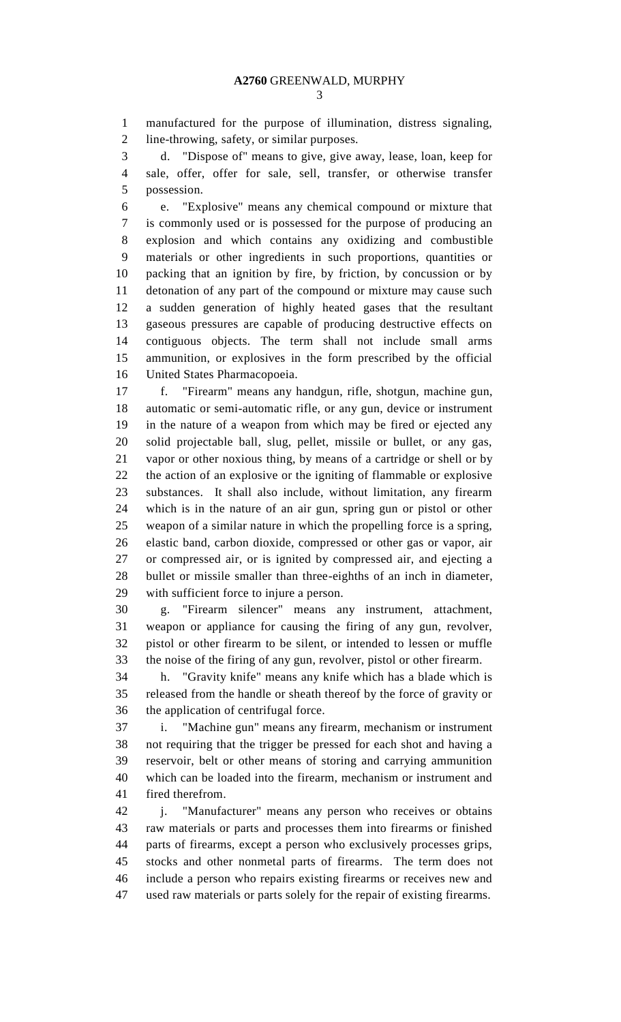manufactured for the purpose of illumination, distress signaling, line-throwing, safety, or similar purposes.

 d. "Dispose of" means to give, give away, lease, loan, keep for sale, offer, offer for sale, sell, transfer, or otherwise transfer possession.

 e. "Explosive" means any chemical compound or mixture that is commonly used or is possessed for the purpose of producing an explosion and which contains any oxidizing and combustible materials or other ingredients in such proportions, quantities or packing that an ignition by fire, by friction, by concussion or by detonation of any part of the compound or mixture may cause such a sudden generation of highly heated gases that the resultant gaseous pressures are capable of producing destructive effects on contiguous objects. The term shall not include small arms ammunition, or explosives in the form prescribed by the official United States Pharmacopoeia.

 f. "Firearm" means any handgun, rifle, shotgun, machine gun, automatic or semi-automatic rifle, or any gun, device or instrument in the nature of a weapon from which may be fired or ejected any solid projectable ball, slug, pellet, missile or bullet, or any gas, vapor or other noxious thing, by means of a cartridge or shell or by the action of an explosive or the igniting of flammable or explosive substances. It shall also include, without limitation, any firearm which is in the nature of an air gun, spring gun or pistol or other weapon of a similar nature in which the propelling force is a spring, elastic band, carbon dioxide, compressed or other gas or vapor, air or compressed air, or is ignited by compressed air, and ejecting a bullet or missile smaller than three-eighths of an inch in diameter, with sufficient force to injure a person.

 g. "Firearm silencer" means any instrument, attachment, weapon or appliance for causing the firing of any gun, revolver, pistol or other firearm to be silent, or intended to lessen or muffle the noise of the firing of any gun, revolver, pistol or other firearm.

 h. "Gravity knife" means any knife which has a blade which is released from the handle or sheath thereof by the force of gravity or the application of centrifugal force.

 i. "Machine gun" means any firearm, mechanism or instrument not requiring that the trigger be pressed for each shot and having a reservoir, belt or other means of storing and carrying ammunition which can be loaded into the firearm, mechanism or instrument and fired therefrom.

 j. "Manufacturer" means any person who receives or obtains raw materials or parts and processes them into firearms or finished parts of firearms, except a person who exclusively processes grips, stocks and other nonmetal parts of firearms. The term does not include a person who repairs existing firearms or receives new and used raw materials or parts solely for the repair of existing firearms.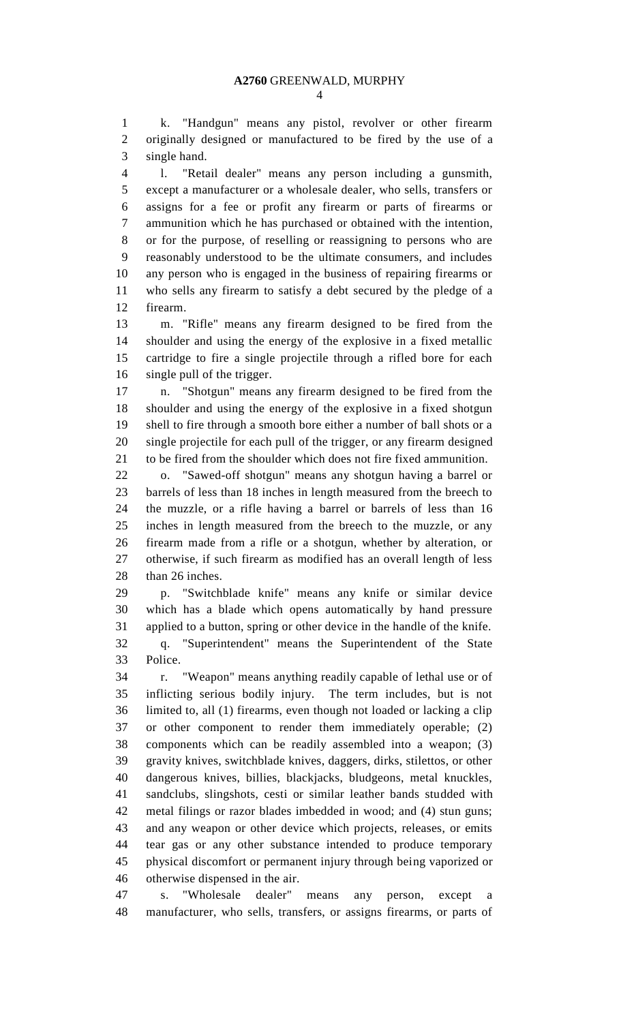k. "Handgun" means any pistol, revolver or other firearm originally designed or manufactured to be fired by the use of a single hand.

 l. "Retail dealer" means any person including a gunsmith, except a manufacturer or a wholesale dealer, who sells, transfers or assigns for a fee or profit any firearm or parts of firearms or ammunition which he has purchased or obtained with the intention, or for the purpose, of reselling or reassigning to persons who are reasonably understood to be the ultimate consumers, and includes any person who is engaged in the business of repairing firearms or who sells any firearm to satisfy a debt secured by the pledge of a firearm.

 m. "Rifle" means any firearm designed to be fired from the shoulder and using the energy of the explosive in a fixed metallic cartridge to fire a single projectile through a rifled bore for each single pull of the trigger.

 n. "Shotgun" means any firearm designed to be fired from the shoulder and using the energy of the explosive in a fixed shotgun shell to fire through a smooth bore either a number of ball shots or a single projectile for each pull of the trigger, or any firearm designed to be fired from the shoulder which does not fire fixed ammunition.

 o. "Sawed-off shotgun" means any shotgun having a barrel or barrels of less than 18 inches in length measured from the breech to the muzzle, or a rifle having a barrel or barrels of less than 16 inches in length measured from the breech to the muzzle, or any firearm made from a rifle or a shotgun, whether by alteration, or otherwise, if such firearm as modified has an overall length of less 28 than 26 inches.

 p. "Switchblade knife" means any knife or similar device which has a blade which opens automatically by hand pressure applied to a button, spring or other device in the handle of the knife. q. "Superintendent" means the Superintendent of the State

Police.

 r. "Weapon" means anything readily capable of lethal use or of inflicting serious bodily injury. The term includes, but is not limited to, all (1) firearms, even though not loaded or lacking a clip or other component to render them immediately operable; (2) components which can be readily assembled into a weapon; (3) gravity knives, switchblade knives, daggers, dirks, stilettos, or other dangerous knives, billies, blackjacks, bludgeons, metal knuckles, sandclubs, slingshots, cesti or similar leather bands studded with metal filings or razor blades imbedded in wood; and (4) stun guns; and any weapon or other device which projects, releases, or emits tear gas or any other substance intended to produce temporary physical discomfort or permanent injury through being vaporized or otherwise dispensed in the air.

 s. "Wholesale dealer" means any person, except a manufacturer, who sells, transfers, or assigns firearms, or parts of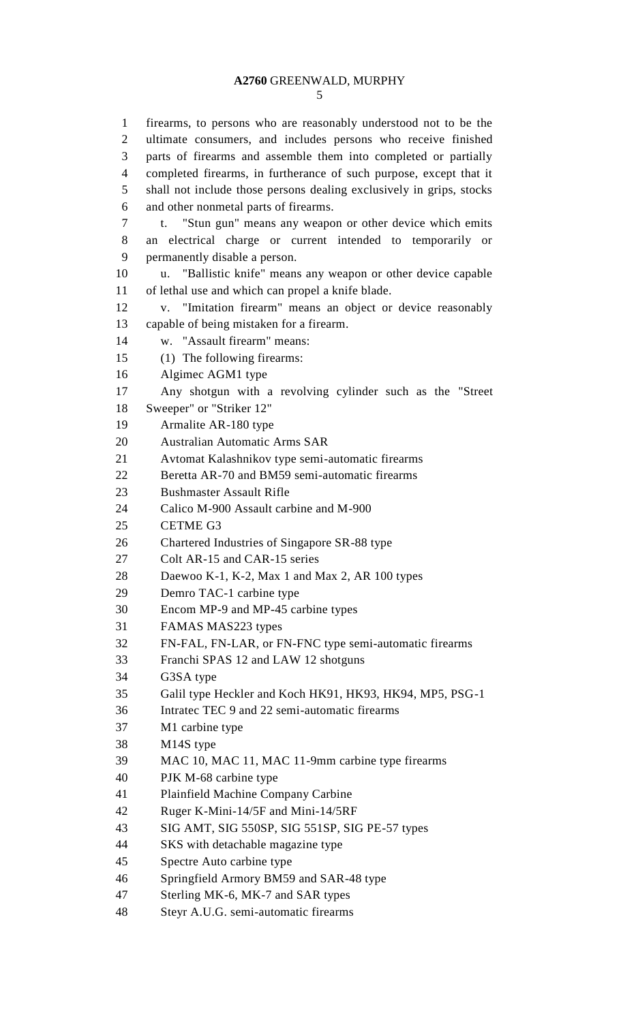## **A2760** GREENWALD, MURPHY

 firearms, to persons who are reasonably understood not to be the ultimate consumers, and includes persons who receive finished parts of firearms and assemble them into completed or partially completed firearms, in furtherance of such purpose, except that it shall not include those persons dealing exclusively in grips, stocks and other nonmetal parts of firearms. t. "Stun gun" means any weapon or other device which emits an electrical charge or current intended to temporarily or permanently disable a person. u. "Ballistic knife" means any weapon or other device capable of lethal use and which can propel a knife blade. v. "Imitation firearm" means an object or device reasonably capable of being mistaken for a firearm. w. "Assault firearm" means: (1) The following firearms: Algimec AGM1 type Any shotgun with a revolving cylinder such as the "Street Sweeper" or "Striker 12" Armalite AR-180 type Australian Automatic Arms SAR Avtomat Kalashnikov type semi-automatic firearms Beretta AR-70 and BM59 semi-automatic firearms Bushmaster Assault Rifle Calico M-900 Assault carbine and M-900 CETME G3 Chartered Industries of Singapore SR-88 type 27 Colt AR-15 and CAR-15 series Daewoo K-1, K-2, Max 1 and Max 2, AR 100 types Demro TAC-1 carbine type Encom MP-9 and MP-45 carbine types FAMAS MAS223 types FN-FAL, FN-LAR, or FN-FNC type semi-automatic firearms Franchi SPAS 12 and LAW 12 shotguns G3SA type Galil type Heckler and Koch HK91, HK93, HK94, MP5, PSG-1 Intratec TEC 9 and 22 semi-automatic firearms M1 carbine type M14S type MAC 10, MAC 11, MAC 11-9mm carbine type firearms PJK M-68 carbine type Plainfield Machine Company Carbine Ruger K-Mini-14/5F and Mini-14/5RF SIG AMT, SIG 550SP, SIG 551SP, SIG PE-57 types SKS with detachable magazine type Spectre Auto carbine type Springfield Armory BM59 and SAR-48 type Sterling MK-6, MK-7 and SAR types Steyr A.U.G. semi-automatic firearms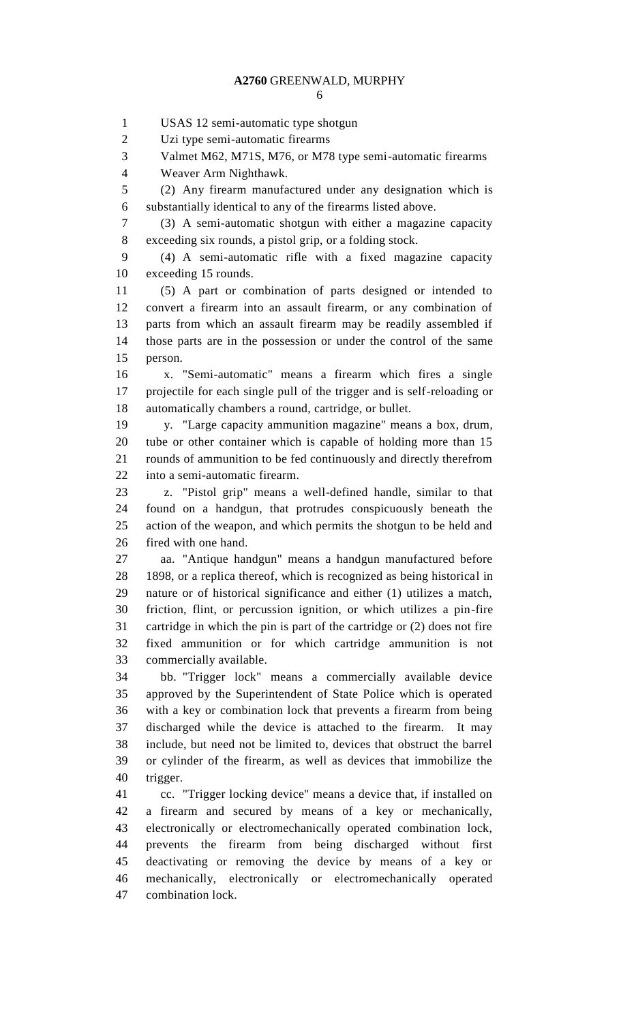USAS 12 semi-automatic type shotgun

Uzi type semi-automatic firearms

Valmet M62, M71S, M76, or M78 type semi-automatic firearms

Weaver Arm Nighthawk.

 (2) Any firearm manufactured under any designation which is substantially identical to any of the firearms listed above.

 (3) A semi-automatic shotgun with either a magazine capacity exceeding six rounds, a pistol grip, or a folding stock.

 (4) A semi-automatic rifle with a fixed magazine capacity exceeding 15 rounds.

 (5) A part or combination of parts designed or intended to convert a firearm into an assault firearm, or any combination of parts from which an assault firearm may be readily assembled if those parts are in the possession or under the control of the same person.

 x. "Semi-automatic" means a firearm which fires a single projectile for each single pull of the trigger and is self-reloading or automatically chambers a round, cartridge, or bullet.

 y. "Large capacity ammunition magazine" means a box, drum, tube or other container which is capable of holding more than 15 rounds of ammunition to be fed continuously and directly therefrom into a semi-automatic firearm.

 z. "Pistol grip" means a well-defined handle, similar to that found on a handgun, that protrudes conspicuously beneath the action of the weapon, and which permits the shotgun to be held and fired with one hand.

 aa. "Antique handgun" means a handgun manufactured before 1898, or a replica thereof, which is recognized as being historical in nature or of historical significance and either (1) utilizes a match, friction, flint, or percussion ignition, or which utilizes a pin-fire cartridge in which the pin is part of the cartridge or (2) does not fire fixed ammunition or for which cartridge ammunition is not commercially available.

 bb. "Trigger lock" means a commercially available device approved by the Superintendent of State Police which is operated with a key or combination lock that prevents a firearm from being discharged while the device is attached to the firearm. It may include, but need not be limited to, devices that obstruct the barrel or cylinder of the firearm, as well as devices that immobilize the trigger.

 cc. "Trigger locking device" means a device that, if installed on a firearm and secured by means of a key or mechanically, electronically or electromechanically operated combination lock, prevents the firearm from being discharged without first deactivating or removing the device by means of a key or mechanically, electronically or electromechanically operated combination lock.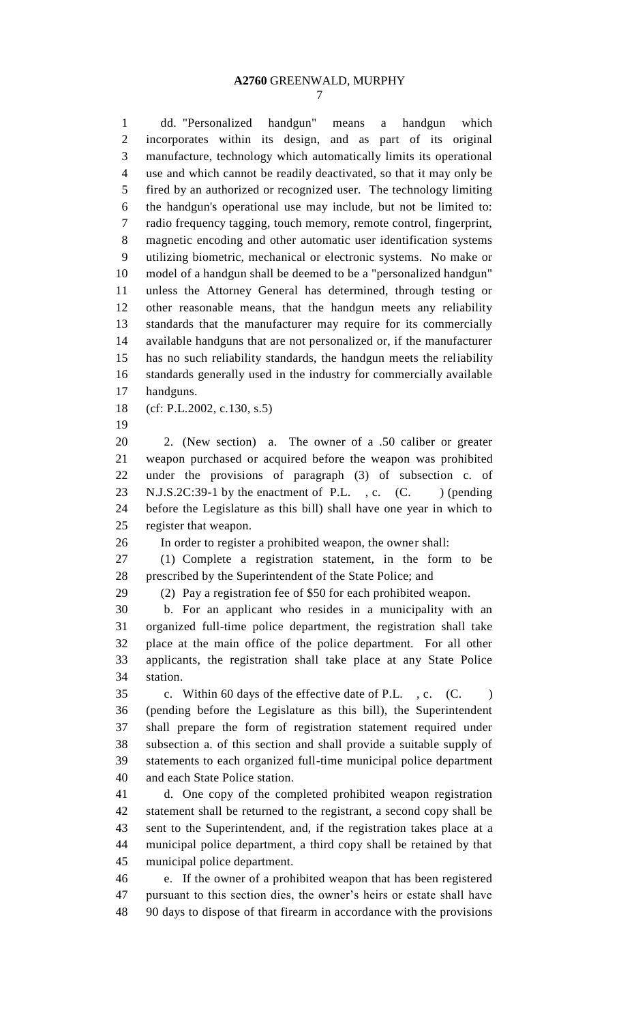## **A2760** GREENWALD, MURPHY

 dd. "Personalized handgun" means a handgun which incorporates within its design, and as part of its original manufacture, technology which automatically limits its operational use and which cannot be readily deactivated, so that it may only be fired by an authorized or recognized user. The technology limiting the handgun's operational use may include, but not be limited to: radio frequency tagging, touch memory, remote control, fingerprint, magnetic encoding and other automatic user identification systems utilizing biometric, mechanical or electronic systems. No make or model of a handgun shall be deemed to be a "personalized handgun" unless the Attorney General has determined, through testing or other reasonable means, that the handgun meets any reliability standards that the manufacturer may require for its commercially available handguns that are not personalized or, if the manufacturer has no such reliability standards, the handgun meets the reliability standards generally used in the industry for commercially available handguns. (cf: P.L.2002, c.130, s.5) 2. (New section) a. The owner of a .50 caliber or greater weapon purchased or acquired before the weapon was prohibited under the provisions of paragraph (3) of subsection c. of 23 N.J.S.2C:39-1 by the enactment of P.L., c. (C.) (pending before the Legislature as this bill) shall have one year in which to register that weapon. In order to register a prohibited weapon, the owner shall: (1) Complete a registration statement, in the form to be prescribed by the Superintendent of the State Police; and (2) Pay a registration fee of \$50 for each prohibited weapon. b. For an applicant who resides in a municipality with an organized full-time police department, the registration shall take place at the main office of the police department. For all other applicants, the registration shall take place at any State Police station. c. Within 60 days of the effective date of P.L. , c. (C. ) (pending before the Legislature as this bill), the Superintendent shall prepare the form of registration statement required under subsection a. of this section and shall provide a suitable supply of statements to each organized full-time municipal police department and each State Police station. d. One copy of the completed prohibited weapon registration statement shall be returned to the registrant, a second copy shall be sent to the Superintendent, and, if the registration takes place at a

 municipal police department. e. If the owner of a prohibited weapon that has been registered pursuant to this section dies, the owner's heirs or estate shall have 90 days to dispose of that firearm in accordance with the provisions

municipal police department, a third copy shall be retained by that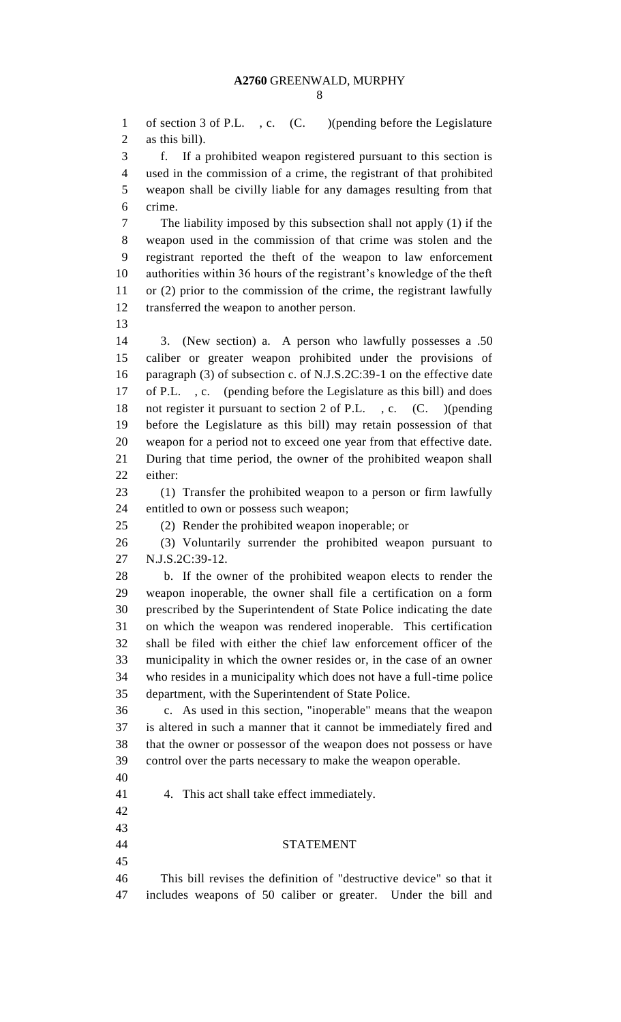of section 3 of P.L. , c. (C. )(pending before the Legislature as this bill).

 f. If a prohibited weapon registered pursuant to this section is used in the commission of a crime, the registrant of that prohibited weapon shall be civilly liable for any damages resulting from that crime.

 The liability imposed by this subsection shall not apply (1) if the weapon used in the commission of that crime was stolen and the registrant reported the theft of the weapon to law enforcement authorities within 36 hours of the registrant's knowledge of the theft or (2) prior to the commission of the crime, the registrant lawfully transferred the weapon to another person.

 3. (New section) a. A person who lawfully possesses a .50 caliber or greater weapon prohibited under the provisions of paragraph (3) of subsection c. of N.J.S.2C:39-1 on the effective date of P.L. , c. (pending before the Legislature as this bill) and does not register it pursuant to section 2 of P.L. , c. (C. )(pending before the Legislature as this bill) may retain possession of that weapon for a period not to exceed one year from that effective date. During that time period, the owner of the prohibited weapon shall either:

 (1) Transfer the prohibited weapon to a person or firm lawfully entitled to own or possess such weapon;

(2) Render the prohibited weapon inoperable; or

 (3) Voluntarily surrender the prohibited weapon pursuant to N.J.S.2C:39-12.

 b. If the owner of the prohibited weapon elects to render the weapon inoperable, the owner shall file a certification on a form prescribed by the Superintendent of State Police indicating the date on which the weapon was rendered inoperable. This certification shall be filed with either the chief law enforcement officer of the municipality in which the owner resides or, in the case of an owner who resides in a municipality which does not have a full-time police department, with the Superintendent of State Police.

 c. As used in this section, "inoperable" means that the weapon is altered in such a manner that it cannot be immediately fired and that the owner or possessor of the weapon does not possess or have control over the parts necessary to make the weapon operable.

 4. This act shall take effect immediately. 

- 
- 
- 

STATEMENT

 This bill revises the definition of "destructive device" so that it includes weapons of 50 caliber or greater. Under the bill and